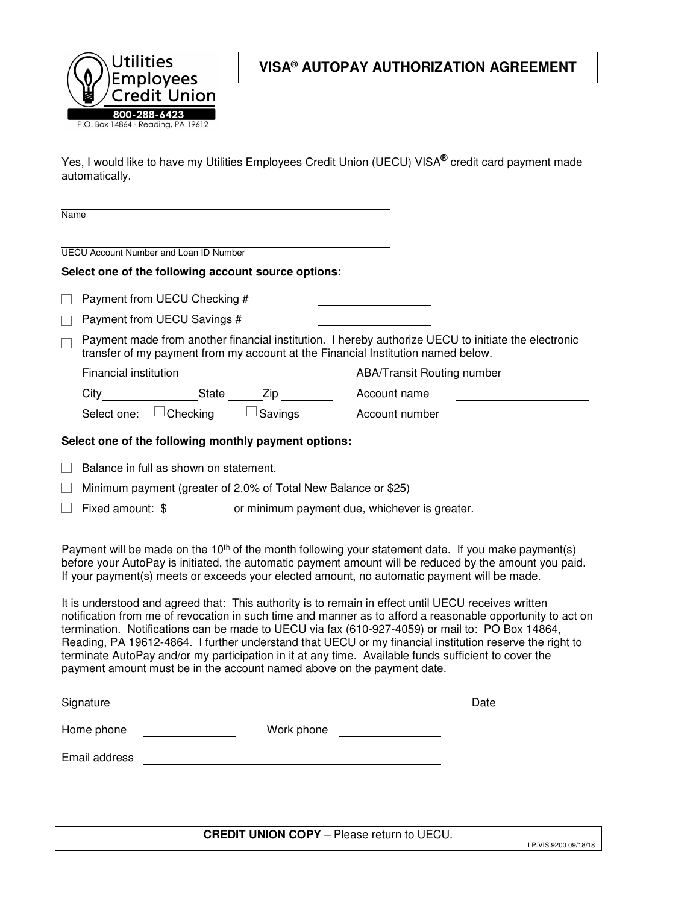

## **VISA® AUTOPAY AUTHORIZATION AGREEMENT**

Yes, I would like to have my Utilities Employees Credit Union (UECU) VISA**®** credit card payment made automatically.

| <b>Name</b>              |                                                                                                                                                                                                                                                                                                                                                                                                                                                                                                                                                                                                                                                                                                                                                                                                                                                                                                                                                                                                                                                                                                                                                                                     |                                               |                                                     |                            |      |  |  |  |  |
|--------------------------|-------------------------------------------------------------------------------------------------------------------------------------------------------------------------------------------------------------------------------------------------------------------------------------------------------------------------------------------------------------------------------------------------------------------------------------------------------------------------------------------------------------------------------------------------------------------------------------------------------------------------------------------------------------------------------------------------------------------------------------------------------------------------------------------------------------------------------------------------------------------------------------------------------------------------------------------------------------------------------------------------------------------------------------------------------------------------------------------------------------------------------------------------------------------------------------|-----------------------------------------------|-----------------------------------------------------|----------------------------|------|--|--|--|--|
|                          |                                                                                                                                                                                                                                                                                                                                                                                                                                                                                                                                                                                                                                                                                                                                                                                                                                                                                                                                                                                                                                                                                                                                                                                     | <b>UECU Account Number and Loan ID Number</b> |                                                     |                            |      |  |  |  |  |
|                          |                                                                                                                                                                                                                                                                                                                                                                                                                                                                                                                                                                                                                                                                                                                                                                                                                                                                                                                                                                                                                                                                                                                                                                                     |                                               | Select one of the following account source options: |                            |      |  |  |  |  |
|                          |                                                                                                                                                                                                                                                                                                                                                                                                                                                                                                                                                                                                                                                                                                                                                                                                                                                                                                                                                                                                                                                                                                                                                                                     |                                               |                                                     |                            |      |  |  |  |  |
|                          | Payment from UECU Checking #                                                                                                                                                                                                                                                                                                                                                                                                                                                                                                                                                                                                                                                                                                                                                                                                                                                                                                                                                                                                                                                                                                                                                        |                                               |                                                     |                            |      |  |  |  |  |
|                          | Payment from UECU Savings #                                                                                                                                                                                                                                                                                                                                                                                                                                                                                                                                                                                                                                                                                                                                                                                                                                                                                                                                                                                                                                                                                                                                                         |                                               |                                                     |                            |      |  |  |  |  |
| Ξ                        | Payment made from another financial institution. I hereby authorize UECU to initiate the electronic<br>transfer of my payment from my account at the Financial Institution named below.                                                                                                                                                                                                                                                                                                                                                                                                                                                                                                                                                                                                                                                                                                                                                                                                                                                                                                                                                                                             |                                               |                                                     |                            |      |  |  |  |  |
|                          |                                                                                                                                                                                                                                                                                                                                                                                                                                                                                                                                                                                                                                                                                                                                                                                                                                                                                                                                                                                                                                                                                                                                                                                     |                                               |                                                     | ABA/Transit Routing number |      |  |  |  |  |
|                          |                                                                                                                                                                                                                                                                                                                                                                                                                                                                                                                                                                                                                                                                                                                                                                                                                                                                                                                                                                                                                                                                                                                                                                                     |                                               |                                                     | Account name               |      |  |  |  |  |
|                          |                                                                                                                                                                                                                                                                                                                                                                                                                                                                                                                                                                                                                                                                                                                                                                                                                                                                                                                                                                                                                                                                                                                                                                                     |                                               | Select one: $\Box$ Checking $\Box$ Savings          | Account number             |      |  |  |  |  |
|                          | Select one of the following monthly payment options:<br>Balance in full as shown on statement.<br>Minimum payment (greater of 2.0% of Total New Balance or \$25)<br>Fixed amount: \$ or minimum payment due, whichever is greater.<br>Payment will be made on the 10 <sup>th</sup> of the month following your statement date. If you make payment(s)<br>before your AutoPay is initiated, the automatic payment amount will be reduced by the amount you paid.<br>If your payment(s) meets or exceeds your elected amount, no automatic payment will be made.<br>It is understood and agreed that: This authority is to remain in effect until UECU receives written<br>notification from me of revocation in such time and manner as to afford a reasonable opportunity to act on<br>termination. Notifications can be made to UECU via fax (610-927-4059) or mail to: PO Box 14864,<br>Reading, PA 19612-4864. I further understand that UECU or my financial institution reserve the right to<br>terminate AutoPay and/or my participation in it at any time. Available funds sufficient to cover the<br>payment amount must be in the account named above on the payment date. |                                               |                                                     |                            |      |  |  |  |  |
|                          | Signature                                                                                                                                                                                                                                                                                                                                                                                                                                                                                                                                                                                                                                                                                                                                                                                                                                                                                                                                                                                                                                                                                                                                                                           |                                               |                                                     |                            | Date |  |  |  |  |
| Home phone<br>Work phone |                                                                                                                                                                                                                                                                                                                                                                                                                                                                                                                                                                                                                                                                                                                                                                                                                                                                                                                                                                                                                                                                                                                                                                                     |                                               |                                                     |                            |      |  |  |  |  |
|                          | Email address                                                                                                                                                                                                                                                                                                                                                                                                                                                                                                                                                                                                                                                                                                                                                                                                                                                                                                                                                                                                                                                                                                                                                                       |                                               |                                                     |                            |      |  |  |  |  |
|                          |                                                                                                                                                                                                                                                                                                                                                                                                                                                                                                                                                                                                                                                                                                                                                                                                                                                                                                                                                                                                                                                                                                                                                                                     |                                               |                                                     |                            |      |  |  |  |  |

**CREDIT UNION COPY** – Please return to UECU.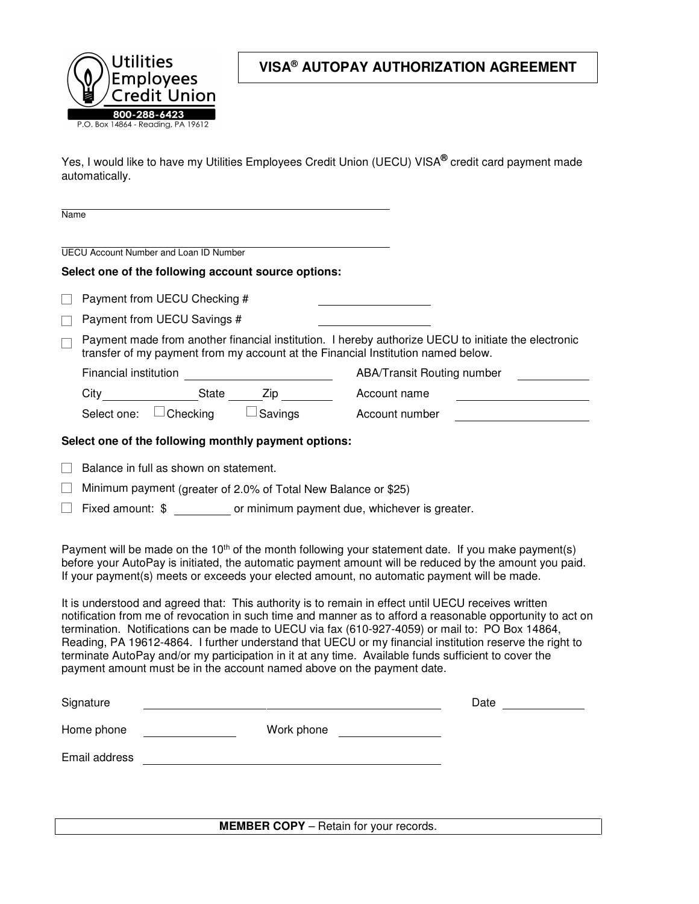

## **VISA® AUTOPAY AUTHORIZATION AGREEMENT**

Yes, I would like to have my Utilities Employees Credit Union (UECU) VISA**®** credit card payment made automatically.

| Name                                                                                                                                                                                                                                                                                                                                                                                                                                                                                                                                                                                                                                                                                                                                                                                                                                                                                                                                                                                                                                                                                                                        |                                                                                                                                                                                         |                                               |                                                           |                                                           |                                   |  |  |  |
|-----------------------------------------------------------------------------------------------------------------------------------------------------------------------------------------------------------------------------------------------------------------------------------------------------------------------------------------------------------------------------------------------------------------------------------------------------------------------------------------------------------------------------------------------------------------------------------------------------------------------------------------------------------------------------------------------------------------------------------------------------------------------------------------------------------------------------------------------------------------------------------------------------------------------------------------------------------------------------------------------------------------------------------------------------------------------------------------------------------------------------|-----------------------------------------------------------------------------------------------------------------------------------------------------------------------------------------|-----------------------------------------------|-----------------------------------------------------------|-----------------------------------------------------------|-----------------------------------|--|--|--|
|                                                                                                                                                                                                                                                                                                                                                                                                                                                                                                                                                                                                                                                                                                                                                                                                                                                                                                                                                                                                                                                                                                                             |                                                                                                                                                                                         | <b>UECU Account Number and Loan ID Number</b> |                                                           |                                                           |                                   |  |  |  |
|                                                                                                                                                                                                                                                                                                                                                                                                                                                                                                                                                                                                                                                                                                                                                                                                                                                                                                                                                                                                                                                                                                                             |                                                                                                                                                                                         |                                               | Select one of the following account source options:       |                                                           |                                   |  |  |  |
|                                                                                                                                                                                                                                                                                                                                                                                                                                                                                                                                                                                                                                                                                                                                                                                                                                                                                                                                                                                                                                                                                                                             |                                                                                                                                                                                         | Payment from UECU Checking #                  |                                                           |                                                           |                                   |  |  |  |
|                                                                                                                                                                                                                                                                                                                                                                                                                                                                                                                                                                                                                                                                                                                                                                                                                                                                                                                                                                                                                                                                                                                             |                                                                                                                                                                                         | Payment from UECU Savings #                   |                                                           |                                                           |                                   |  |  |  |
| $\Box$                                                                                                                                                                                                                                                                                                                                                                                                                                                                                                                                                                                                                                                                                                                                                                                                                                                                                                                                                                                                                                                                                                                      | Payment made from another financial institution. I hereby authorize UECU to initiate the electronic<br>transfer of my payment from my account at the Financial Institution named below. |                                               |                                                           |                                                           |                                   |  |  |  |
|                                                                                                                                                                                                                                                                                                                                                                                                                                                                                                                                                                                                                                                                                                                                                                                                                                                                                                                                                                                                                                                                                                                             |                                                                                                                                                                                         |                                               |                                                           |                                                           | <b>ABA/Transit Routing number</b> |  |  |  |
|                                                                                                                                                                                                                                                                                                                                                                                                                                                                                                                                                                                                                                                                                                                                                                                                                                                                                                                                                                                                                                                                                                                             |                                                                                                                                                                                         |                                               | City _______________________State ________Zip ___________ | Account name                                              |                                   |  |  |  |
|                                                                                                                                                                                                                                                                                                                                                                                                                                                                                                                                                                                                                                                                                                                                                                                                                                                                                                                                                                                                                                                                                                                             |                                                                                                                                                                                         |                                               |                                                           | Select one: $\Box$ Checking $\Box$ Savings Account number |                                   |  |  |  |
|                                                                                                                                                                                                                                                                                                                                                                                                                                                                                                                                                                                                                                                                                                                                                                                                                                                                                                                                                                                                                                                                                                                             |                                                                                                                                                                                         |                                               | Select one of the following monthly payment options:      |                                                           |                                   |  |  |  |
| Balance in full as shown on statement.<br>Minimum payment (greater of 2.0% of Total New Balance or \$25)<br>Fixed amount: \$ or minimum payment due, whichever is greater.<br>Payment will be made on the 10 <sup>th</sup> of the month following your statement date. If you make payment(s)<br>before your AutoPay is initiated, the automatic payment amount will be reduced by the amount you paid.<br>If your payment(s) meets or exceeds your elected amount, no automatic payment will be made.<br>It is understood and agreed that: This authority is to remain in effect until UECU receives written<br>notification from me of revocation in such time and manner as to afford a reasonable opportunity to act on<br>termination. Notifications can be made to UECU via fax (610-927-4059) or mail to: PO Box 14864,<br>Reading, PA 19612-4864. I further understand that UECU or my financial institution reserve the right to<br>terminate AutoPay and/or my participation in it at any time. Available funds sufficient to cover the<br>payment amount must be in the account named above on the payment date. |                                                                                                                                                                                         |                                               |                                                           |                                                           |                                   |  |  |  |
|                                                                                                                                                                                                                                                                                                                                                                                                                                                                                                                                                                                                                                                                                                                                                                                                                                                                                                                                                                                                                                                                                                                             | Signature                                                                                                                                                                               |                                               |                                                           |                                                           | <b>Date</b>                       |  |  |  |
| Work phone<br>Home phone                                                                                                                                                                                                                                                                                                                                                                                                                                                                                                                                                                                                                                                                                                                                                                                                                                                                                                                                                                                                                                                                                                    |                                                                                                                                                                                         |                                               |                                                           |                                                           |                                   |  |  |  |
|                                                                                                                                                                                                                                                                                                                                                                                                                                                                                                                                                                                                                                                                                                                                                                                                                                                                                                                                                                                                                                                                                                                             | Email address                                                                                                                                                                           |                                               |                                                           |                                                           |                                   |  |  |  |
|                                                                                                                                                                                                                                                                                                                                                                                                                                                                                                                                                                                                                                                                                                                                                                                                                                                                                                                                                                                                                                                                                                                             |                                                                                                                                                                                         |                                               |                                                           |                                                           |                                   |  |  |  |

**MEMBER COPY** – Retain for your records.